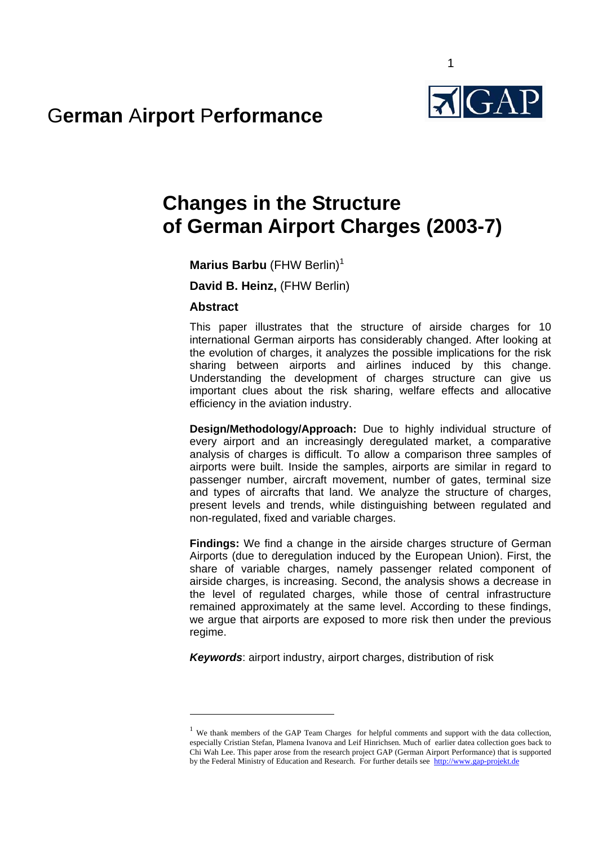

# G**erman** A**irport** P**erformance**

# **Changes in the Structure of German Airport Charges (2003-7)**

 $1$ 

**Marius Barbu** (FHW Berlin)<sup>1</sup>

**David B. Heinz,** (FHW Berlin)

### **Abstract**

1

This paper illustrates that the structure of airside charges for 10 international German airports has considerably changed. After looking at the evolution of charges, it analyzes the possible implications for the risk sharing between airports and airlines induced by this change. Understanding the development of charges structure can give us important clues about the risk sharing, welfare effects and allocative efficiency in the aviation industry.

**Design/Methodology/Approach:** Due to highly individual structure of every airport and an increasingly deregulated market, a comparative analysis of charges is difficult. To allow a comparison three samples of airports were built. Inside the samples, airports are similar in regard to passenger number, aircraft movement, number of gates, terminal size and types of aircrafts that land. We analyze the structure of charges, present levels and trends, while distinguishing between regulated and non-regulated, fixed and variable charges.

**Findings:** We find a change in the airside charges structure of German Airports (due to deregulation induced by the European Union). First, the share of variable charges, namely passenger related component of airside charges, is increasing. Second, the analysis shows a decrease in the level of regulated charges, while those of central infrastructure remained approximately at the same level. According to these findings, we argue that airports are exposed to more risk then under the previous regime.

*Keywords*: airport industry, airport charges, distribution of risk

<sup>&</sup>lt;sup>1</sup> We thank members of the GAP Team Charges for helpful comments and support with the data collection, especially Cristian Stefan, Plamena Ivanova and Leif Hinrichsen. Much of earlier datea collection goes back to Chi Wah Lee. This paper arose from the research project GAP (German Airport Performance) that is supported by the Federal Ministry of Education and Research. For further details see http://www.gap-projekt.de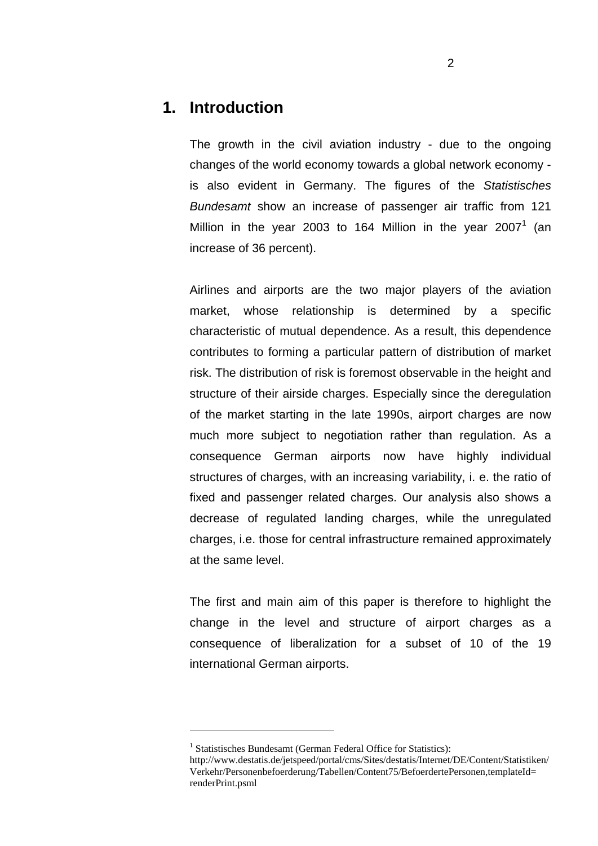### **1. Introduction**

The growth in the civil aviation industry - due to the ongoing changes of the world economy towards a global network economy is also evident in Germany. The figures of the *Statistisches Bundesamt* show an increase of passenger air traffic from 121 Million in the year 2003 to 164 Million in the year 2007<sup>1</sup> (an increase of 36 percent).

Airlines and airports are the two major players of the aviation market, whose relationship is determined by a specific characteristic of mutual dependence. As a result, this dependence contributes to forming a particular pattern of distribution of market risk. The distribution of risk is foremost observable in the height and structure of their airside charges. Especially since the deregulation of the market starting in the late 1990s, airport charges are now much more subject to negotiation rather than regulation. As a consequence German airports now have highly individual structures of charges, with an increasing variability, i. e. the ratio of fixed and passenger related charges. Our analysis also shows a decrease of regulated landing charges, while the unregulated charges, i.e. those for central infrastructure remained approximately at the same level.

The first and main aim of this paper is therefore to highlight the change in the level and structure of airport charges as a consequence of liberalization for a subset of 10 of the 19 international German airports.

1

<sup>&</sup>lt;sup>1</sup> Statistisches Bundesamt (German Federal Office for Statistics):

http://www.destatis.de/jetspeed/portal/cms/Sites/destatis/Internet/DE/Content/Statistiken/ Verkehr/Personenbefoerderung/Tabellen/Content75/BefoerdertePersonen,templateId= renderPrint.psml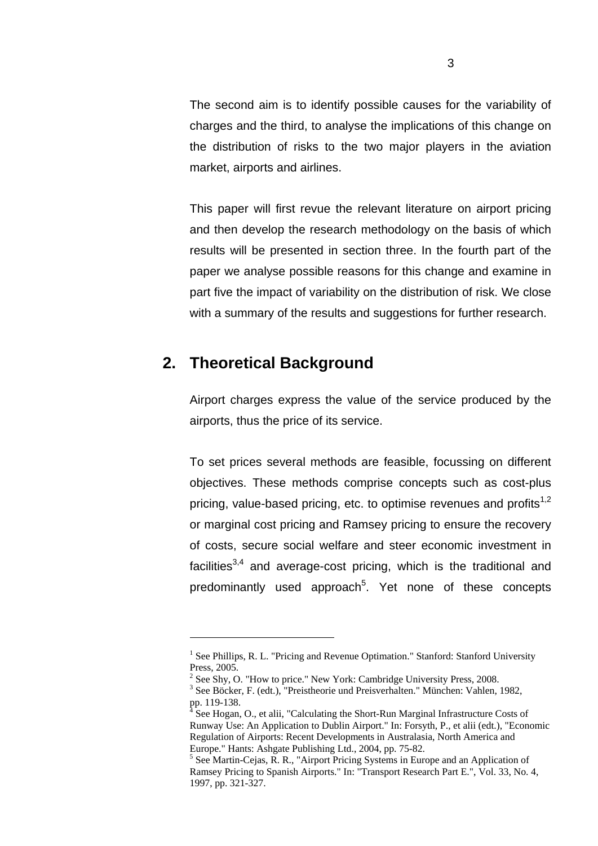The second aim is to identify possible causes for the variability of charges and the third, to analyse the implications of this change on the distribution of risks to the two major players in the aviation market, airports and airlines.

This paper will first revue the relevant literature on airport pricing and then develop the research methodology on the basis of which results will be presented in section three. In the fourth part of the paper we analyse possible reasons for this change and examine in part five the impact of variability on the distribution of risk. We close with a summary of the results and suggestions for further research.

## **2. Theoretical Background**

1

Airport charges express the value of the service produced by the airports, thus the price of its service.

To set prices several methods are feasible, focussing on different objectives. These methods comprise concepts such as cost-plus pricing, value-based pricing, etc. to optimise revenues and profits<sup>1,2</sup> or marginal cost pricing and Ramsey pricing to ensure the recovery of costs, secure social welfare and steer economic investment in facilities $3,4$  and average-cost pricing, which is the traditional and predominantly used approach<sup>5</sup>. Yet none of these concepts

<sup>&</sup>lt;sup>1</sup> See Phillips, R. L. "Pricing and Revenue Optimation." Stanford: Stanford University Press, 2005.

<sup>&</sup>lt;sup>2</sup> See Shy, O. "How to price." New York: Cambridge University Press, 2008.

<sup>&</sup>lt;sup>3</sup> See Böcker, F. (edt.), "Preistheorie und Preisverhalten." München: Vahlen, 1982, pp. 119-138.<br><sup>4</sup> See Hosen

See Hogan, O., et alii, "Calculating the Short-Run Marginal Infrastructure Costs of Runway Use: An Application to Dublin Airport." In: Forsyth, P., et alii (edt.), "Economic Regulation of Airports: Recent Developments in Australasia, North America and Europe." Hants: Ashgate Publishing Ltd., 2004, pp. 75-82.

<sup>&</sup>lt;sup>5</sup> See Martin-Cejas, R. R., "Airport Pricing Systems in Europe and an Application of Ramsey Pricing to Spanish Airports." In: "Transport Research Part E.", Vol. 33, No. 4, 1997, pp. 321-327.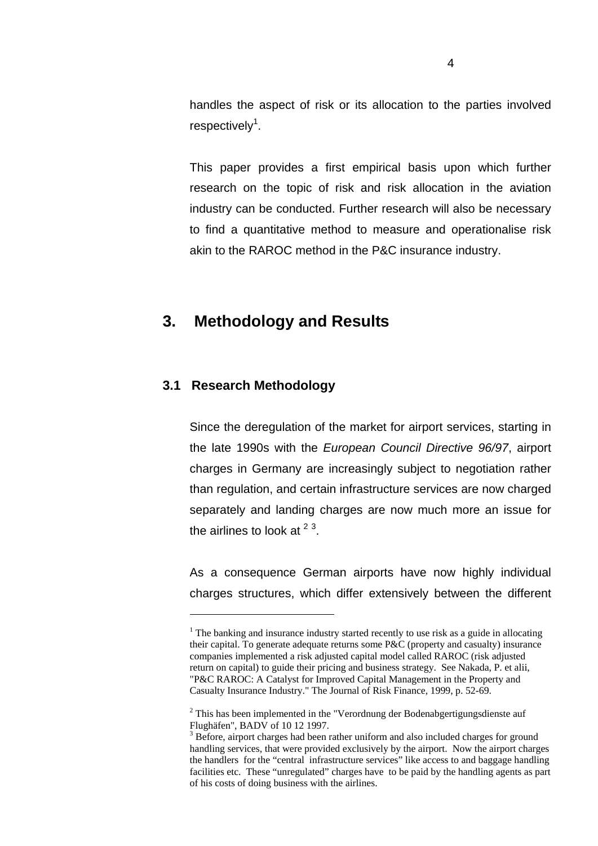handles the aspect of risk or its allocation to the parties involved respectively<sup>1</sup>.

This paper provides a first empirical basis upon which further research on the topic of risk and risk allocation in the aviation industry can be conducted. Further research will also be necessary to find a quantitative method to measure and operationalise risk akin to the RAROC method in the P&C insurance industry.

### **3. Methodology and Results**

### **3.1 Research Methodology**

1

Since the deregulation of the market for airport services, starting in the late 1990s with the *European Council Directive 96/97*, airport charges in Germany are increasingly subject to negotiation rather than regulation, and certain infrastructure services are now charged separately and landing charges are now much more an issue for the airlines to look at  $2^3$ .

As a consequence German airports have now highly individual charges structures, which differ extensively between the different

 $<sup>1</sup>$  The banking and insurance industry started recently to use risk as a guide in allocating</sup> their capital. To generate adequate returns some P&C (property and casualty) insurance companies implemented a risk adjusted capital model called RAROC (risk adjusted return on capital) to guide their pricing and business strategy. See Nakada, P. et alii, "P&C RAROC: A Catalyst for Improved Capital Management in the Property and Casualty Insurance Industry." The Journal of Risk Finance, 1999, p. 52-69.

 $2$  This has been implemented in the "Verordnung der Bodenabgertigungsdienste auf Flughäfen", BADV of 10 12 1997.

<sup>&</sup>lt;sup>3</sup> Before, airport charges had been rather uniform and also included charges for ground handling services, that were provided exclusively by the airport. Now the airport charges the handlers for the "central infrastructure services" like access to and baggage handling facilities etc. These "unregulated" charges have to be paid by the handling agents as part of his costs of doing business with the airlines.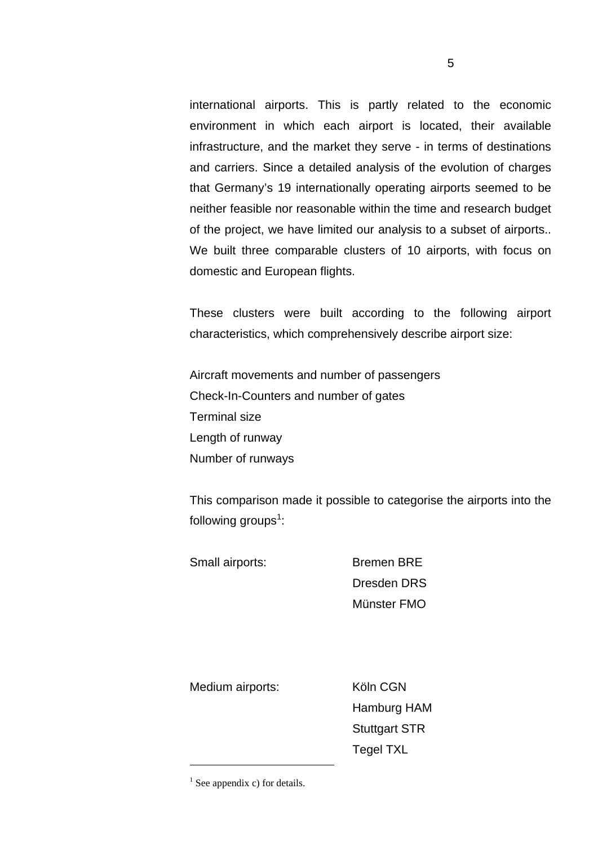international airports. This is partly related to the economic environment in which each airport is located, their available infrastructure, and the market they serve - in terms of destinations and carriers. Since a detailed analysis of the evolution of charges that Germany's 19 internationally operating airports seemed to be neither feasible nor reasonable within the time and research budget of the project, we have limited our analysis to a subset of airports.. We built three comparable clusters of 10 airports, with focus on domestic and European flights.

These clusters were built according to the following airport characteristics, which comprehensively describe airport size:

Aircraft movements and number of passengers Check-In-Counters and number of gates Terminal size Length of runway Number of runways

This comparison made it possible to categorise the airports into the following groups<sup>1</sup>:

Small airports: Bremen BRE

Dresden DRS Münster FMO

Medium airports: Köln CGN

1

 Hamburg HAM Stuttgart STR Tegel TXL

 $<sup>1</sup>$  See appendix c) for details.</sup>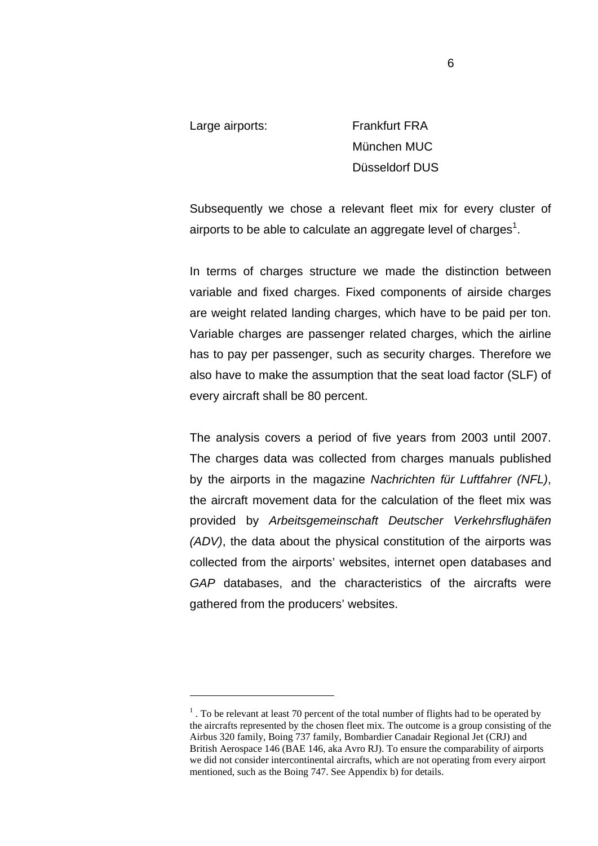1

Large airports: Frankfurt FRA München MUC Düsseldorf DUS

Subsequently we chose a relevant fleet mix for every cluster of airports to be able to calculate an aggregate level of charges<sup>1</sup>.

In terms of charges structure we made the distinction between variable and fixed charges. Fixed components of airside charges are weight related landing charges, which have to be paid per ton. Variable charges are passenger related charges, which the airline has to pay per passenger, such as security charges. Therefore we also have to make the assumption that the seat load factor (SLF) of every aircraft shall be 80 percent.

The analysis covers a period of five years from 2003 until 2007. The charges data was collected from charges manuals published by the airports in the magazine *Nachrichten für Luftfahrer (NFL)*, the aircraft movement data for the calculation of the fleet mix was provided by *Arbeitsgemeinschaft Deutscher Verkehrsflughäfen (ADV)*, the data about the physical constitution of the airports was collected from the airports' websites, internet open databases and *GAP* databases, and the characteristics of the aircrafts were gathered from the producers' websites.

 $<sup>1</sup>$ . To be relevant at least 70 percent of the total number of flights had to be operated by</sup> the aircrafts represented by the chosen fleet mix. The outcome is a group consisting of the Airbus 320 family, Boing 737 family, Bombardier Canadair Regional Jet (CRJ) and British Aerospace 146 (BAE 146, aka Avro RJ). To ensure the comparability of airports we did not consider intercontinental aircrafts, which are not operating from every airport mentioned, such as the Boing 747. See Appendix b) for details.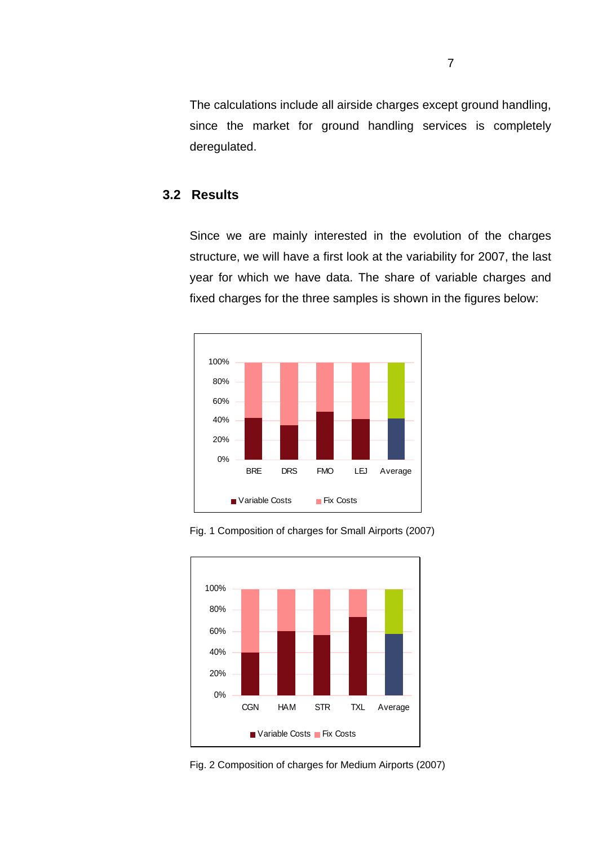The calculations include all airside charges except ground handling, since the market for ground handling services is completely deregulated.

### **3.2 Results**

Since we are mainly interested in the evolution of the charges structure, we will have a first look at the variability for 2007, the last year for which we have data. The share of variable charges and fixed charges for the three samples is shown in the figures below:







Fig. 2 Composition of charges for Medium Airports (2007)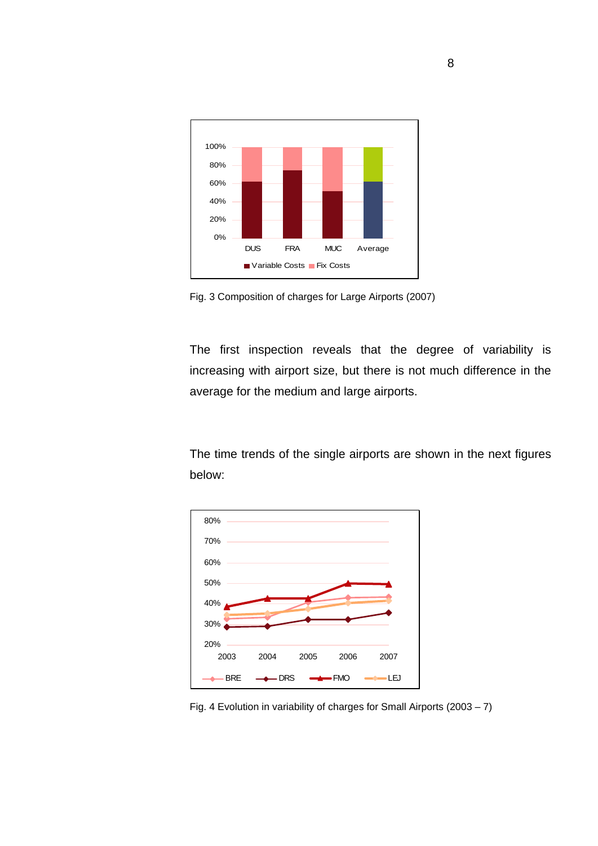

Fig. 3 Composition of charges for Large Airports (2007)

The first inspection reveals that the degree of variability is increasing with airport size, but there is not much difference in the average for the medium and large airports.

The time trends of the single airports are shown in the next figures below:



Fig. 4 Evolution in variability of charges for Small Airports (2003 – 7)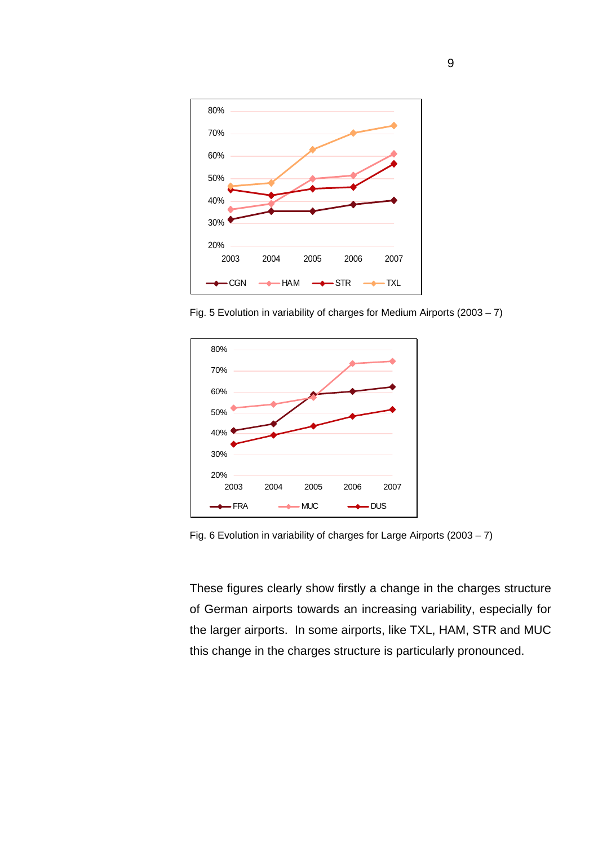

Fig. 5 Evolution in variability of charges for Medium Airports (2003 – 7)



Fig. 6 Evolution in variability of charges for Large Airports (2003 – 7)

These figures clearly show firstly a change in the charges structure of German airports towards an increasing variability, especially for the larger airports. In some airports, like TXL, HAM, STR and MUC this change in the charges structure is particularly pronounced.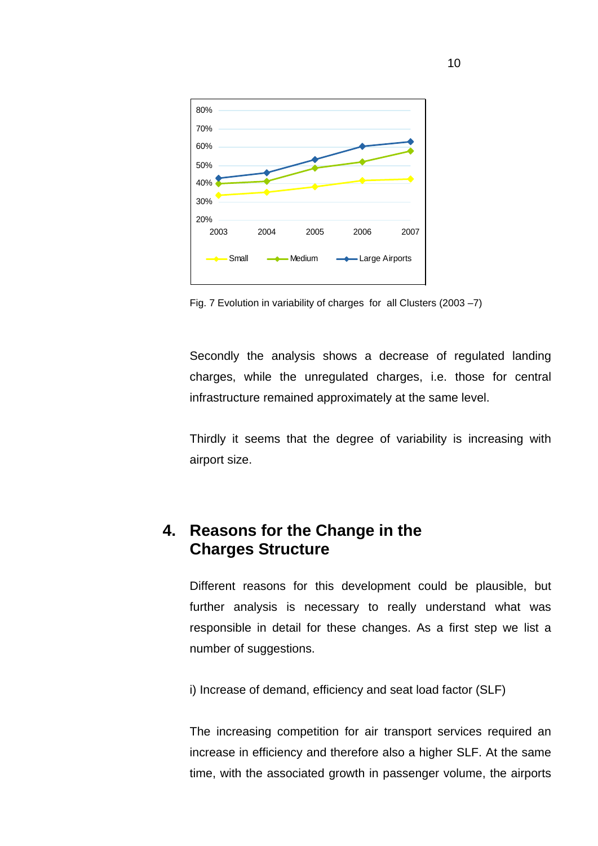

Fig. 7 Evolution in variability of charges for all Clusters (2003 –7)

Secondly the analysis shows a decrease of regulated landing charges, while the unregulated charges, i.e. those for central infrastructure remained approximately at the same level.

Thirdly it seems that the degree of variability is increasing with airport size.

# **4. Reasons for the Change in the Charges Structure**

Different reasons for this development could be plausible, but further analysis is necessary to really understand what was responsible in detail for these changes. As a first step we list a number of suggestions.

i) Increase of demand, efficiency and seat load factor (SLF)

The increasing competition for air transport services required an increase in efficiency and therefore also a higher SLF. At the same time, with the associated growth in passenger volume, the airports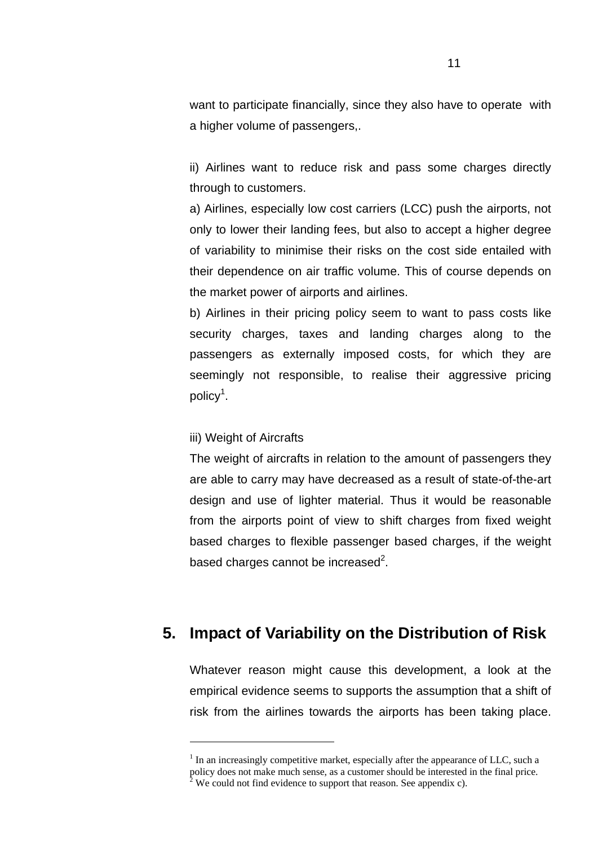want to participate financially, since they also have to operate with a higher volume of passengers,.

ii) Airlines want to reduce risk and pass some charges directly through to customers.

a) Airlines, especially low cost carriers (LCC) push the airports, not only to lower their landing fees, but also to accept a higher degree of variability to minimise their risks on the cost side entailed with their dependence on air traffic volume. This of course depends on the market power of airports and airlines.

b) Airlines in their pricing policy seem to want to pass costs like security charges, taxes and landing charges along to the passengers as externally imposed costs, for which they are seemingly not responsible, to realise their aggressive pricing policy<sup>1</sup>.

#### iii) Weight of Aircrafts

1

The weight of aircrafts in relation to the amount of passengers they are able to carry may have decreased as a result of state-of-the-art design and use of lighter material. Thus it would be reasonable from the airports point of view to shift charges from fixed weight based charges to flexible passenger based charges, if the weight based charges cannot be increased $2$ .

# **5. Impact of Variability on the Distribution of Risk**

Whatever reason might cause this development, a look at the empirical evidence seems to supports the assumption that a shift of risk from the airlines towards the airports has been taking place.

 $<sup>1</sup>$  In an increasingly competitive market, especially after the appearance of LLC, such a</sup> policy does not make much sense, as a customer should be interested in the final price. 2 We could not find evidence to support that reason. See appendix c).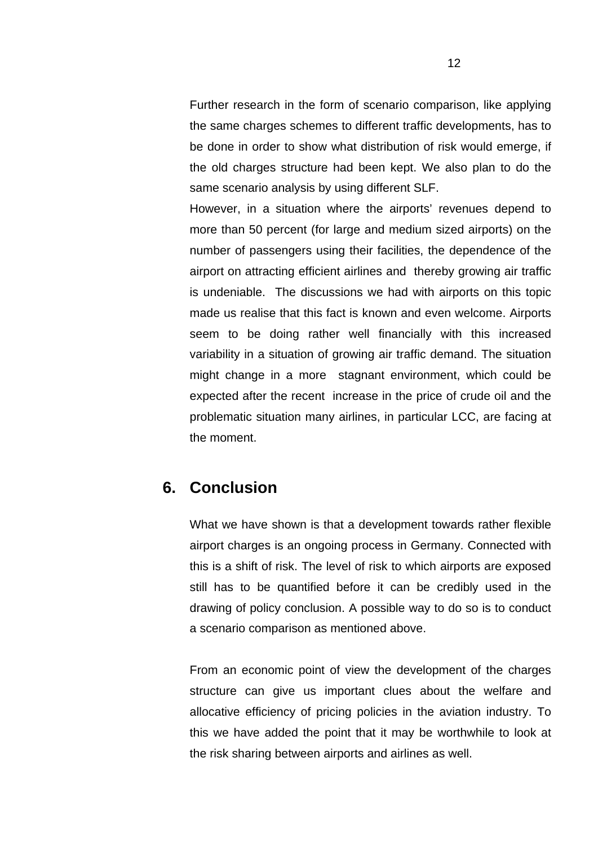Further research in the form of scenario comparison, like applying the same charges schemes to different traffic developments, has to be done in order to show what distribution of risk would emerge, if the old charges structure had been kept. We also plan to do the same scenario analysis by using different SLF.

However, in a situation where the airports' revenues depend to more than 50 percent (for large and medium sized airports) on the number of passengers using their facilities, the dependence of the airport on attracting efficient airlines and thereby growing air traffic is undeniable. The discussions we had with airports on this topic made us realise that this fact is known and even welcome. Airports seem to be doing rather well financially with this increased variability in a situation of growing air traffic demand. The situation might change in a more stagnant environment, which could be expected after the recent increase in the price of crude oil and the problematic situation many airlines, in particular LCC, are facing at the moment.

## **6. Conclusion**

What we have shown is that a development towards rather flexible airport charges is an ongoing process in Germany. Connected with this is a shift of risk. The level of risk to which airports are exposed still has to be quantified before it can be credibly used in the drawing of policy conclusion. A possible way to do so is to conduct a scenario comparison as mentioned above.

From an economic point of view the development of the charges structure can give us important clues about the welfare and allocative efficiency of pricing policies in the aviation industry. To this we have added the point that it may be worthwhile to look at the risk sharing between airports and airlines as well.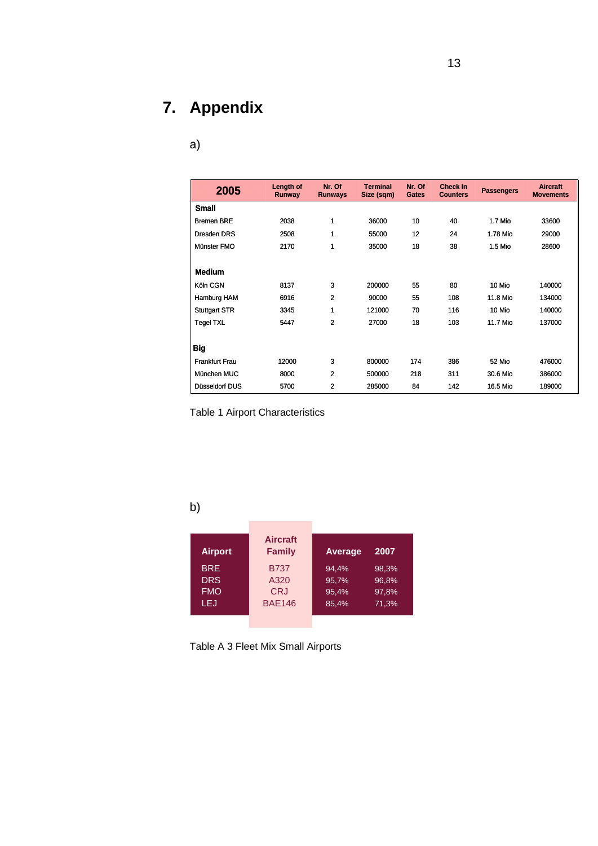# **7. Appendix**

# a)

| 2005                  | Length of<br>Runway | Nr. Of<br><b>Runways</b> | <b>Terminal</b><br>Size (sqm) | Nr. Of<br><b>Gates</b> | <b>Check In</b><br><b>Counters</b> | <b>Passengers</b> | <b>Aircraft</b><br><b>Movements</b> |
|-----------------------|---------------------|--------------------------|-------------------------------|------------------------|------------------------------------|-------------------|-------------------------------------|
| <b>Small</b>          |                     |                          |                               |                        |                                    |                   |                                     |
| <b>Bremen BRE</b>     | 2038                | 1                        | 36000                         | 10                     | 40                                 | 1.7 Mio           | 33600                               |
| Dresden DRS           | 2508                | 1                        | 55000                         | 12                     | 24                                 | 1.78 Mio          | 29000                               |
| Münster FMO           | 2170                | 1                        | 35000                         | 18                     | 38                                 | 1.5 Mio           | 28600                               |
| <b>Medium</b>         |                     |                          |                               |                        |                                    |                   |                                     |
| Köln CGN              | 8137                | 3                        | 200000                        | 55                     | 80                                 | 10 Mio            | 140000                              |
| Hamburg HAM           | 6916                | $\mathbf{2}$             | 90000                         | 55                     | 108                                | 11.8 Mio          | 134000                              |
| <b>Stuttgart STR</b>  | 3345                | 1                        | 121000                        | 70                     | 116                                | 10 Mio            | 140000                              |
| <b>Tegel TXL</b>      | 5447                | $\overline{2}$           | 27000                         | 18                     | 103                                | 11.7 Mio          | 137000                              |
| Big                   |                     |                          |                               |                        |                                    |                   |                                     |
| <b>Frankfurt Frau</b> | 12000               | 3                        | 800000                        | 174                    | 386                                | 52 Mio            | 476000                              |
| München MUC           | 8000                | $\overline{2}$           | 500000                        | 218                    | 311                                | 30.6 Mio          | 386000                              |
| Düsseldorf DUS        | 5700                | 2                        | 285000                        | 84                     | 142                                | 16.5 Mio          | 189000                              |

Table 1 Airport Characteristics

b)

| <b>Airport</b> | <b>Aircraft</b><br><b>Family</b> | Average | 2007  |
|----------------|----------------------------------|---------|-------|
| <b>BRE</b>     | <b>B737</b>                      | 94,4%   | 98,3% |
| <b>DRS</b>     | A320                             | 95,7%   | 96,8% |
| <b>FMO</b>     | <b>CRJ</b>                       | 95,4%   | 97,8% |
| LEJ            | <b>BAE146</b>                    | 85,4%   | 71,3% |
|                |                                  |         |       |

Table A 3 Fleet Mix Small Airports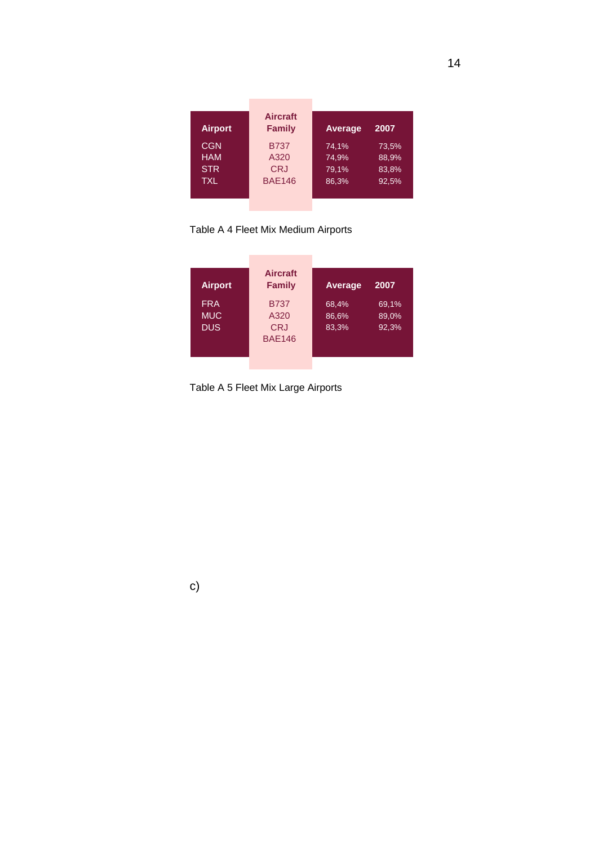| <b>Airport</b> | <b>Aircraft</b><br><b>Family</b> | <b>Average</b> | 2007  |
|----------------|----------------------------------|----------------|-------|
| <b>CGN</b>     | <b>B737</b>                      | 74,1%          | 73,5% |
| <b>HAM</b>     | A320                             | 74,9%          | 88,9% |
| <b>STR</b>     | <b>CRJ</b>                       | 79,1%          | 83,8% |
| TXL            | <b>BAE146</b>                    | 86,3%          | 92,5% |
|                |                                  |                |       |

Table A 4 Fleet Mix Medium Airports

÷

 $\sim$ 

| <b>Airport</b>                         | <b>Aircraft</b><br><b>Family</b>                   | Average                 | 2007                    |
|----------------------------------------|----------------------------------------------------|-------------------------|-------------------------|
| <b>FRA</b><br><b>MUC</b><br><b>DUS</b> | <b>B737</b><br>A320<br><b>CRJ</b><br><b>BAE146</b> | 68,4%<br>86,6%<br>83,3% | 69,1%<br>89,0%<br>92,3% |

Table A 5 Fleet Mix Large Airports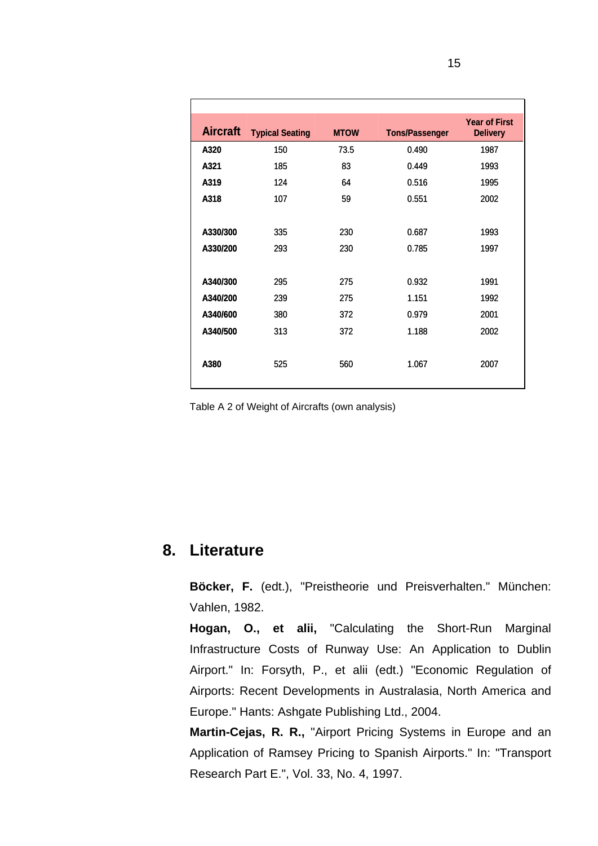| <b>Aircraft</b> | <b>Typical Seating</b> | <b>MTOW</b> | <b>Tons/Passenger</b> | <b>Year of First</b><br><b>Delivery</b> |
|-----------------|------------------------|-------------|-----------------------|-----------------------------------------|
| A320            | 150                    | 73.5        | 0.490                 | 1987                                    |
| A321            | 185                    | 83          | 0.449                 | 1993                                    |
| A319            | 124                    | 64          | 0.516                 | 1995                                    |
| A318            | 107                    | 59          | 0.551                 | 2002                                    |
|                 |                        |             |                       |                                         |
| A330/300        | 335                    | 230         | 0.687                 | 1993                                    |
| A330/200        | 293                    | 230         | 0.785                 | 1997                                    |
|                 |                        |             |                       |                                         |
| A340/300        | 295                    | 275         | 0.932                 | 1991                                    |
| A340/200        | 239                    | 275         | 1.151                 | 1992                                    |
| A340/600        | 380                    | 372         | 0.979                 | 2001                                    |
| A340/500        | 313                    | 372         | 1.188                 | 2002                                    |
|                 |                        |             |                       |                                         |
| A380            | 525                    | 560         | 1.067                 | 2007                                    |
|                 |                        |             |                       |                                         |

Table A 2 of Weight of Aircrafts (own analysis)

# **8. Literature**

**Böcker, F.** (edt.), "Preistheorie und Preisverhalten." München: Vahlen, 1982.

**Hogan, O., et alii,** "Calculating the Short-Run Marginal Infrastructure Costs of Runway Use: An Application to Dublin Airport." In: Forsyth, P., et alii (edt.) "Economic Regulation of Airports: Recent Developments in Australasia, North America and Europe." Hants: Ashgate Publishing Ltd., 2004.

**Martin-Cejas, R. R.,** "Airport Pricing Systems in Europe and an Application of Ramsey Pricing to Spanish Airports." In: "Transport Research Part E.", Vol. 33, No. 4, 1997.